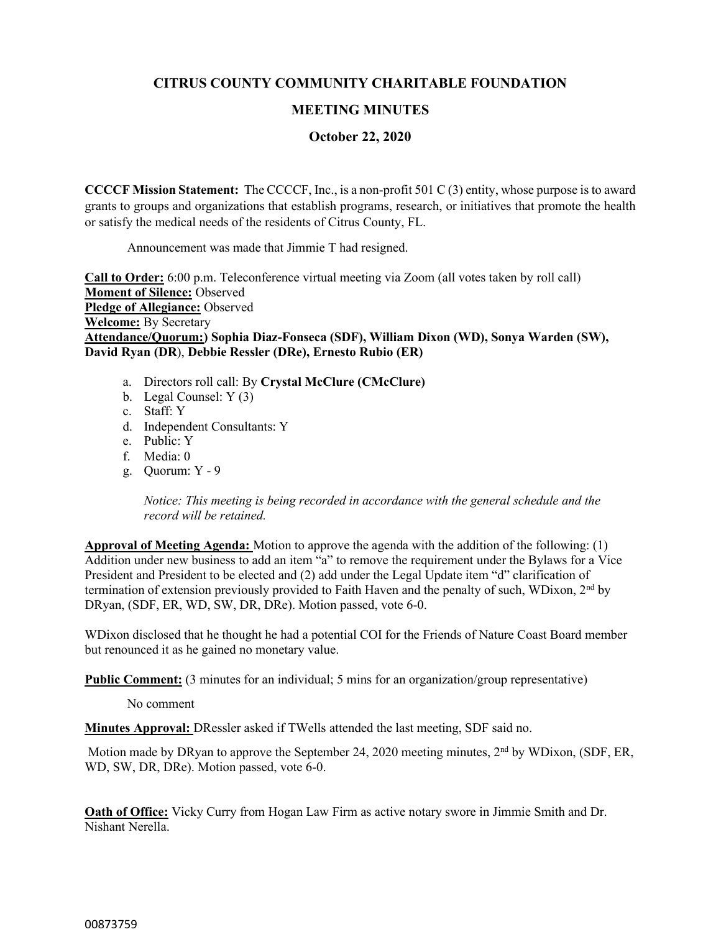# **CITRUS COUNTY COMMUNITY CHARITABLE FOUNDATION**

## **MEETING MINUTES**

## **October 22, 2020**

**CCCCF Mission Statement:** The CCCCF, Inc., is a non-profit 501 C (3) entity, whose purpose is to award grants to groups and organizations that establish programs, research, or initiatives that promote the health or satisfy the medical needs of the residents of Citrus County, FL.

Announcement was made that Jimmie T had resigned.

**Call to Order:** 6:00 p.m. Teleconference virtual meeting via Zoom (all votes taken by roll call) **Moment of Silence:** Observed **Pledge of Allegiance:** Observed **Welcome:** By Secretary **Attendance/Quorum:) Sophia Diaz-Fonseca (SDF), William Dixon (WD), Sonya Warden (SW), David Ryan (DR**), **Debbie Ressler (DRe), Ernesto Rubio (ER)** 

- a. Directors roll call: By **Crystal McClure (CMcClure)**
- b. Legal Counsel: Y (3)
- c. Staff: Y
- d. Independent Consultants: Y
- e. Public: Y
- f. Media: 0
- g. Quorum: Y 9

*Notice: This meeting is being recorded in accordance with the general schedule and the record will be retained.*

**Approval of Meeting Agenda:** Motion to approve the agenda with the addition of the following: (1) Addition under new business to add an item "a" to remove the requirement under the Bylaws for a Vice President and President to be elected and (2) add under the Legal Update item "d" clarification of termination of extension previously provided to Faith Haven and the penalty of such, WDixon,  $2<sup>nd</sup>$  by DRyan, (SDF, ER, WD, SW, DR, DRe). Motion passed, vote 6-0.

WDixon disclosed that he thought he had a potential COI for the Friends of Nature Coast Board member but renounced it as he gained no monetary value.

**Public Comment:** (3 minutes for an individual; 5 mins for an organization/group representative)

No comment

**Minutes Approval:** DRessler asked if TWells attended the last meeting, SDF said no.

Motion made by DRyan to approve the September 24, 2020 meeting minutes,  $2<sup>nd</sup>$  by WDixon, (SDF, ER, WD, SW, DR, DRe). Motion passed, vote 6-0.

**Oath of Office:** Vicky Curry from Hogan Law Firm as active notary swore in Jimmie Smith and Dr. Nishant Nerella.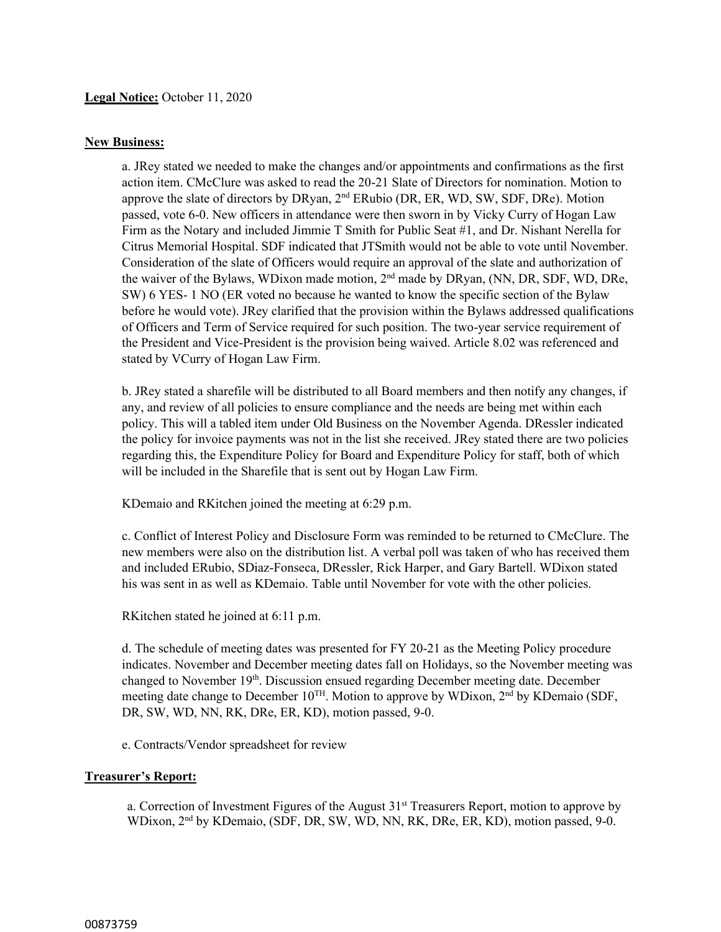## **New Business:**

a. JRey stated we needed to make the changes and/or appointments and confirmations as the first action item. CMcClure was asked to read the 20-21 Slate of Directors for nomination. Motion to approve the slate of directors by DRyan, 2<sup>nd</sup> ERubio (DR, ER, WD, SW, SDF, DRe). Motion passed, vote 6-0. New officers in attendance were then sworn in by Vicky Curry of Hogan Law Firm as the Notary and included Jimmie T Smith for Public Seat #1, and Dr. Nishant Nerella for Citrus Memorial Hospital. SDF indicated that JTSmith would not be able to vote until November. Consideration of the slate of Officers would require an approval of the slate and authorization of the waiver of the Bylaws, WDixon made motion, 2nd made by DRyan, (NN, DR, SDF, WD, DRe, SW) 6 YES- 1 NO (ER voted no because he wanted to know the specific section of the Bylaw before he would vote). JRey clarified that the provision within the Bylaws addressed qualifications of Officers and Term of Service required for such position. The two-year service requirement of the President and Vice-President is the provision being waived. Article 8.02 was referenced and stated by VCurry of Hogan Law Firm.

b. JRey stated a sharefile will be distributed to all Board members and then notify any changes, if any, and review of all policies to ensure compliance and the needs are being met within each policy. This will a tabled item under Old Business on the November Agenda. DRessler indicated the policy for invoice payments was not in the list she received. JRey stated there are two policies regarding this, the Expenditure Policy for Board and Expenditure Policy for staff, both of which will be included in the Sharefile that is sent out by Hogan Law Firm.

KDemaio and RKitchen joined the meeting at 6:29 p.m.

c. Conflict of Interest Policy and Disclosure Form was reminded to be returned to CMcClure. The new members were also on the distribution list. A verbal poll was taken of who has received them and included ERubio, SDiaz-Fonseca, DRessler, Rick Harper, and Gary Bartell. WDixon stated his was sent in as well as KDemaio. Table until November for vote with the other policies.

RKitchen stated he joined at 6:11 p.m.

d. The schedule of meeting dates was presented for FY 20-21 as the Meeting Policy procedure indicates. November and December meeting dates fall on Holidays, so the November meeting was changed to November 19<sup>th</sup>. Discussion ensued regarding December meeting date. December meeting date change to December  $10^{TH}$ . Motion to approve by WDixon,  $2^{nd}$  by KDemaio (SDF, DR, SW, WD, NN, RK, DRe, ER, KD), motion passed, 9-0.

e. Contracts/Vendor spreadsheet for review

### **Treasurer's Report:**

a. Correction of Investment Figures of the August 31<sup>st</sup> Treasurers Report, motion to approve by WDixon, 2<sup>nd</sup> by KDemaio, (SDF, DR, SW, WD, NN, RK, DRe, ER, KD), motion passed, 9-0.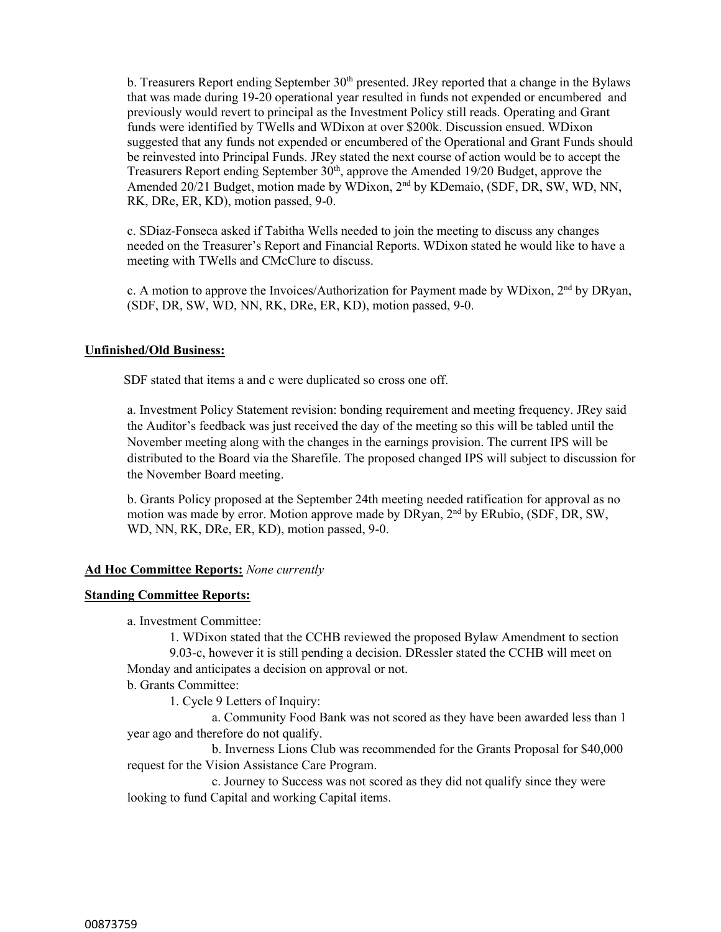b. Treasurers Report ending September  $30<sup>th</sup>$  presented. JRey reported that a change in the Bylaws that was made during 19-20 operational year resulted in funds not expended or encumbered and previously would revert to principal as the Investment Policy still reads. Operating and Grant funds were identified by TWells and WDixon at over \$200k. Discussion ensued. WDixon suggested that any funds not expended or encumbered of the Operational and Grant Funds should be reinvested into Principal Funds. JRey stated the next course of action would be to accept the Treasurers Report ending September  $30<sup>th</sup>$ , approve the Amended 19/20 Budget, approve the Amended 20/21 Budget, motion made by WDixon, 2<sup>nd</sup> by KDemaio, (SDF, DR, SW, WD, NN, RK, DRe, ER, KD), motion passed, 9-0.

c. SDiaz-Fonseca asked if Tabitha Wells needed to join the meeting to discuss any changes needed on the Treasurer's Report and Financial Reports. WDixon stated he would like to have a meeting with TWells and CMcClure to discuss.

c. A motion to approve the Invoices/Authorization for Payment made by WDixon, 2<sup>nd</sup> by DRyan, (SDF, DR, SW, WD, NN, RK, DRe, ER, KD), motion passed, 9-0.

#### **Unfinished/Old Business:**

SDF stated that items a and c were duplicated so cross one off.

a. Investment Policy Statement revision: bonding requirement and meeting frequency. JRey said the Auditor's feedback was just received the day of the meeting so this will be tabled until the November meeting along with the changes in the earnings provision. The current IPS will be distributed to the Board via the Sharefile. The proposed changed IPS will subject to discussion for the November Board meeting.

b. Grants Policy proposed at the September 24th meeting needed ratification for approval as no motion was made by error. Motion approve made by DRyan, 2nd by ERubio, (SDF, DR, SW, WD, NN, RK, DRe, ER, KD), motion passed, 9-0.

#### **Ad Hoc Committee Reports:** *None currently*

#### **Standing Committee Reports:**

a. Investment Committee:

1. WDixon stated that the CCHB reviewed the proposed Bylaw Amendment to section 9.03-c, however it is still pending a decision. DRessler stated the CCHB will meet on Monday and anticipates a decision on approval or not.

b. Grants Committee:

1. Cycle 9 Letters of Inquiry:

a. Community Food Bank was not scored as they have been awarded less than 1 year ago and therefore do not qualify.

b. Inverness Lions Club was recommended for the Grants Proposal for \$40,000 request for the Vision Assistance Care Program.

c. Journey to Success was not scored as they did not qualify since they were looking to fund Capital and working Capital items.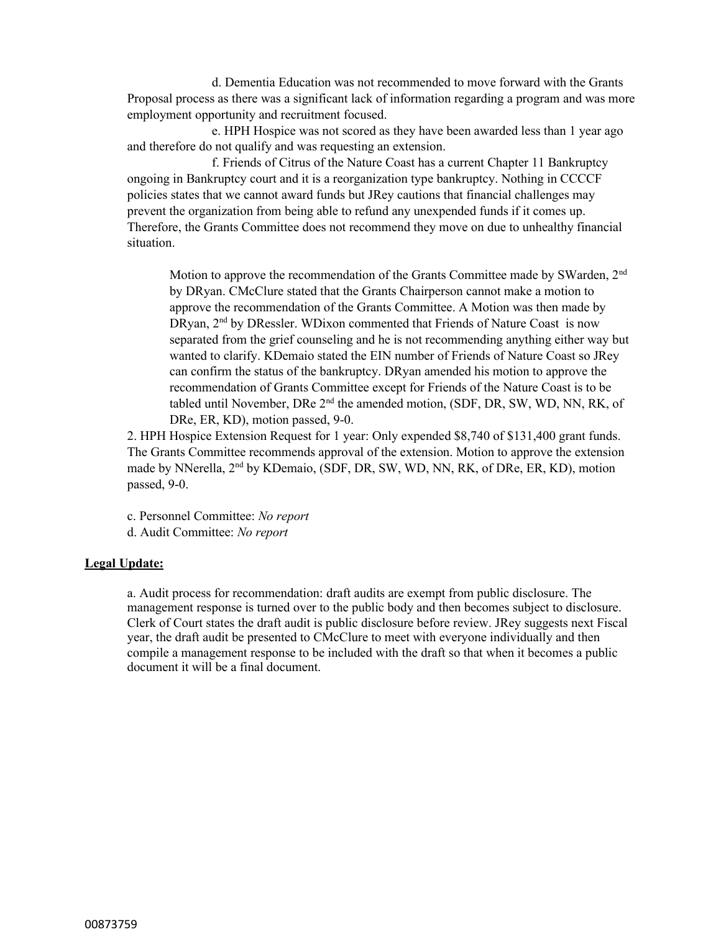d. Dementia Education was not recommended to move forward with the Grants Proposal process as there was a significant lack of information regarding a program and was more employment opportunity and recruitment focused.

e. HPH Hospice was not scored as they have been awarded less than 1 year ago and therefore do not qualify and was requesting an extension.

f. Friends of Citrus of the Nature Coast has a current Chapter 11 Bankruptcy ongoing in Bankruptcy court and it is a reorganization type bankruptcy. Nothing in CCCCF policies states that we cannot award funds but JRey cautions that financial challenges may prevent the organization from being able to refund any unexpended funds if it comes up. Therefore, the Grants Committee does not recommend they move on due to unhealthy financial situation.

Motion to approve the recommendation of the Grants Committee made by SWarden, 2<sup>nd</sup> by DRyan. CMcClure stated that the Grants Chairperson cannot make a motion to approve the recommendation of the Grants Committee. A Motion was then made by DRyan, 2<sup>nd</sup> by DRessler. WDixon commented that Friends of Nature Coast is now separated from the grief counseling and he is not recommending anything either way but wanted to clarify. KDemaio stated the EIN number of Friends of Nature Coast so JRey can confirm the status of the bankruptcy. DRyan amended his motion to approve the recommendation of Grants Committee except for Friends of the Nature Coast is to be tabled until November, DRe 2<sup>nd</sup> the amended motion, (SDF, DR, SW, WD, NN, RK, of DRe, ER, KD), motion passed, 9-0.

2. HPH Hospice Extension Request for 1 year: Only expended \$8,740 of \$131,400 grant funds. The Grants Committee recommends approval of the extension. Motion to approve the extension made by NNerella, 2<sup>nd</sup> by KDemaio, (SDF, DR, SW, WD, NN, RK, of DRe, ER, KD), motion passed, 9-0.

c. Personnel Committee: *No report* d. Audit Committee: *No report*

### **Legal Update:**

a. Audit process for recommendation: draft audits are exempt from public disclosure. The management response is turned over to the public body and then becomes subject to disclosure. Clerk of Court states the draft audit is public disclosure before review. JRey suggests next Fiscal year, the draft audit be presented to CMcClure to meet with everyone individually and then compile a management response to be included with the draft so that when it becomes a public document it will be a final document.